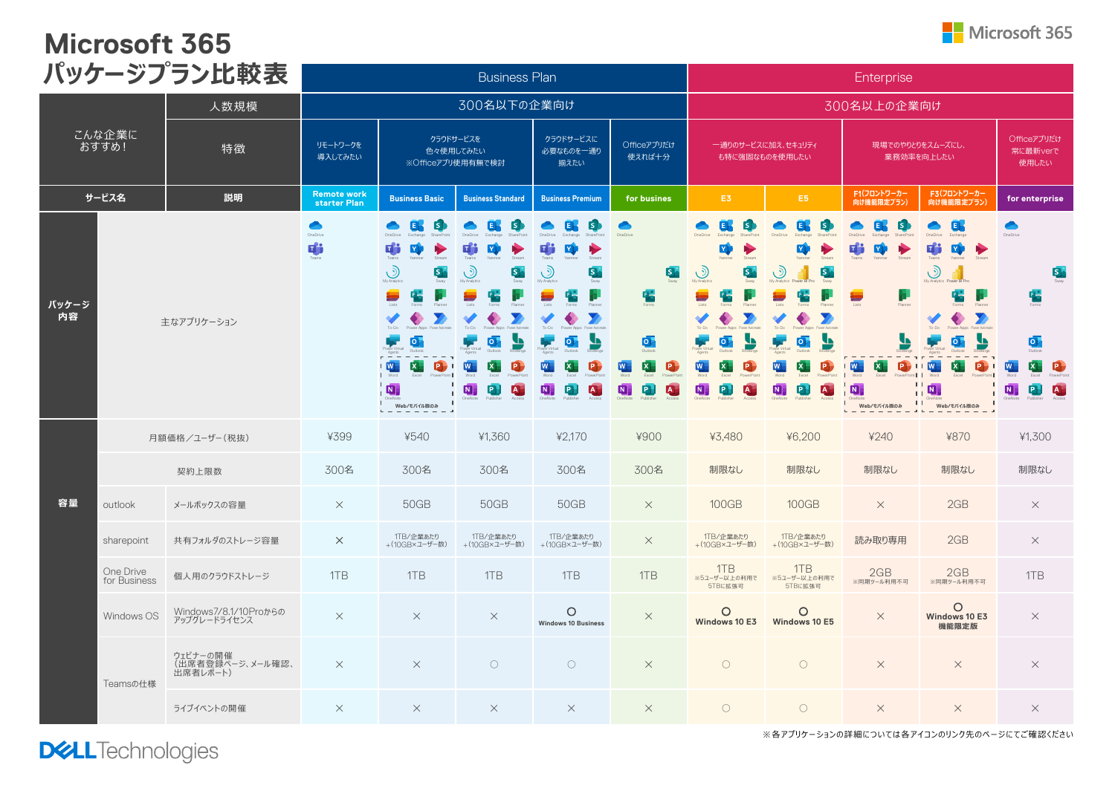## **Microsoft 365**

|                               |                           | パッケージプラン比較表                              |                       |                                                                                                                                                                                          | <b>Business Plan</b>                                                                     |                                                                                                                                      |                                                                                                                       |                                                                                                                                                                                     |                                                                                                              | Enterprise                                                                               |                                                                                                                                                         |                                                                                                                              |
|-------------------------------|---------------------------|------------------------------------------|-----------------------|------------------------------------------------------------------------------------------------------------------------------------------------------------------------------------------|------------------------------------------------------------------------------------------|--------------------------------------------------------------------------------------------------------------------------------------|-----------------------------------------------------------------------------------------------------------------------|-------------------------------------------------------------------------------------------------------------------------------------------------------------------------------------|--------------------------------------------------------------------------------------------------------------|------------------------------------------------------------------------------------------|---------------------------------------------------------------------------------------------------------------------------------------------------------|------------------------------------------------------------------------------------------------------------------------------|
| 人数規模<br>こんな企業に<br>おすすめ!<br>特徴 |                           |                                          |                       | 300名以下の企業向け                                                                                                                                                                              |                                                                                          |                                                                                                                                      |                                                                                                                       |                                                                                                                                                                                     | 300名以上の企業向け                                                                                                  |                                                                                          |                                                                                                                                                         |                                                                                                                              |
|                               |                           |                                          | リモートワークを<br>導入してみたい   | クラウドサービスを<br>クラウドサービスに<br>Officeアプリだけ<br>一通りのサービスに加え、セキュリティ<br>色々使用してみたい<br>必要なものを一通り<br>使えれば十分<br>も特に強固なものを使用したい<br>※Officeアプリ使用有無で検討<br>揃えたい                                           |                                                                                          | 現場でのやりとりをスムーズにし、<br>業務効率を向上したい                                                                                                       |                                                                                                                       | Officeアプリだけ<br>常に最新verで<br>使用したい                                                                                                                                                    |                                                                                                              |                                                                                          |                                                                                                                                                         |                                                                                                                              |
| サービス名<br>説明                   |                           | <b>Remote work</b><br>starter Plan       | <b>Business Basic</b> | <b>Business Standard</b>                                                                                                                                                                 | <b>Business Premium</b>                                                                  | for busines                                                                                                                          | E3                                                                                                                    | E <sub>5</sub>                                                                                                                                                                      | F1(フロントワーカー<br>向け機能限定プラン)                                                                                    | F3(フロントワーカー<br>向け機能限定プラン)                                                                | for enterprise                                                                                                                                          |                                                                                                                              |
| パッケージ<br>内容                   |                           | 主なアプリケーション                               | ◚<br>OneDrive<br>Ŵ    | ls.<br><b>TH</b><br>$\odot$<br>9<br>My Analytic<br>▄<br>떱<br>To-Do<br>┗<br>$ 0\rangle$<br>$\mathbf{x}$<br>$\overline{\mathbf{w}}$<br>$\bullet$<br>$\overline{\mathbf{N}}$<br>Web/モバイル版のみ | ١s<br>$\circledcirc$<br>5<br>$ 0\rangle$<br>$W^-$<br>ē.<br> x <br>N<br>$\mathbf{A}$<br>P | ١s<br>E<br>п <sup>ре</sup><br> Y <br>$\odot$<br>51<br>My Analyt<br> 0 <br>u<br>W<br>$\overline{P}$<br> x <br>N<br>P.<br>$\mathbf{A}$ | <b>5</b><br>嚂<br>$\overline{\mathsf{O}}$<br>Γx<br>$\mathsf{P}\,$<br>e<br>$\boxed{\mathsf{N}}$<br>$\boxed{\mathbf{A}}$ | EF.<br>$\mathbf{Y}$<br>$\odot$<br>5.<br>My Analytics<br>To-Do<br>$\overline{\mathsf{o}}$<br>$\mathbf{w}$<br>$\overline{\mathbf{x}}$<br>$\boxed{\mathbf{N}}$<br>P.<br>$\overline{A}$ | 内<br>۞<br>E<br>To-Do<br> 0 <br>$\overline{W}$<br>ĪP.<br>x<br>$\blacksquare$<br>$\overline{A}$<br>$ {\sf P} $ | Гs<br>E<br>H.<br>œ<br>$\mathbf{P}$<br>$\mathbf{x}$<br>$ \mathbf{W} $<br>N<br>Web/モバイル版のみ | E.<br>$\bigcirc$<br>My Analytics Power BI Pro<br>٣<br>G<br>To-Dr<br><u>4</u><br> 0 <br>$\mathbf{x}$<br>W<br>P<br>$\blacksquare$<br>$\pm$<br>Web/モバイル版のみ | OneDrive<br>5<br>嚂<br>$\overline{\mathbf{Q}}$<br>$\overline{\mathbf{x}}$<br>W<br>$\mathbf N$<br>$\mathbf{p}$<br>$\mathbf{A}$ |
|                               | 月額価格/ユーザー(税抜)             |                                          | ¥399                  | ¥540                                                                                                                                                                                     | ¥1.360                                                                                   | ¥2.170                                                                                                                               | ¥900                                                                                                                  | ¥3.480                                                                                                                                                                              | ¥6,200                                                                                                       | ¥240                                                                                     | ¥870                                                                                                                                                    | ¥1.300                                                                                                                       |
|                               |                           | 契約上限数                                    | 300名                  | 300名                                                                                                                                                                                     | 300名                                                                                     | 300名                                                                                                                                 | 300名                                                                                                                  | 制限なし                                                                                                                                                                                | 制限なし                                                                                                         | 制限なし                                                                                     | 制限なし                                                                                                                                                    | 制限なし                                                                                                                         |
| 容量                            | outlook                   | メールボックスの容量                               | $\times$              | 50GB                                                                                                                                                                                     | 50GB                                                                                     | 50GB                                                                                                                                 | $\times$                                                                                                              | 100GB                                                                                                                                                                               | <b>100GB</b>                                                                                                 | $\times$                                                                                 | 2GB                                                                                                                                                     | $\times$                                                                                                                     |
|                               | sharepoint                | 共有フォルダのストレージ容量                           | $\times$              | 1TB/企業あたり<br>+(10GB×ユーザー数)                                                                                                                                                               | 1TB/企業あたり<br>+(10GB×ユーザー数)                                                               | 1TB/企業あたり<br>+(10GB×ユーザー数)                                                                                                           | $\times$                                                                                                              | 1TB/企業あたり<br>+(10GB×ユーザー数)                                                                                                                                                          | 1TB/企業あたり<br>+(10GB×ユーザー数)                                                                                   | 読み取り専用                                                                                   | 2GB                                                                                                                                                     | $\times$                                                                                                                     |
|                               | One Drive<br>for Business | 個人用のクラウドストレージ                            | 1TB                   | 1TB                                                                                                                                                                                      | 1TB                                                                                      | 1TB                                                                                                                                  | 1TB                                                                                                                   | 1TB<br>※5ユーザー以上の利用で<br>5TBに拡張可                                                                                                                                                      | 1TB<br>※5ユーザー以上の利用で<br>5TBに拡張可                                                                               | 2GB<br>※同期ツール利用不可                                                                        | 2GB<br>※同期ツール利用不可                                                                                                                                       | 1TB                                                                                                                          |
|                               | Windows OS                | Windows7/8.1/10Proからの<br>アップグレードライセンス    | $\times$              | $\times$                                                                                                                                                                                 | $\times$                                                                                 | O<br><b>Windows 10 Business</b>                                                                                                      | $\times$                                                                                                              | O<br>Windows 10 E3                                                                                                                                                                  | O<br>Windows 10 E5                                                                                           | $\times$                                                                                 | $\circ$<br>Windows 10 E3<br>機能限定版                                                                                                                       | $\times$                                                                                                                     |
|                               | Teamsの仕様                  | ウェビナーの開催<br>(出席者登録ページ、メール確認、<br>出席者レポート) | $\times$              | $\times$                                                                                                                                                                                 | $\circ$                                                                                  | $\bigcirc$                                                                                                                           | $\times$                                                                                                              | $\circ$                                                                                                                                                                             | $\circ$                                                                                                      | $\times$                                                                                 | $\times$                                                                                                                                                | $\times$                                                                                                                     |
|                               |                           | ライブイベントの開催                               | $\times$              | $\times$                                                                                                                                                                                 | $\times$                                                                                 | $\times$                                                                                                                             | $\times$                                                                                                              | $\bigcirc$                                                                                                                                                                          | $\bigcirc$                                                                                                   | $\times$                                                                                 | $\times$                                                                                                                                                | $\times$                                                                                                                     |

**DELL**Technologies

※各アプリケーションの詳細については各アイコンのリンク先のページにてご確認ください